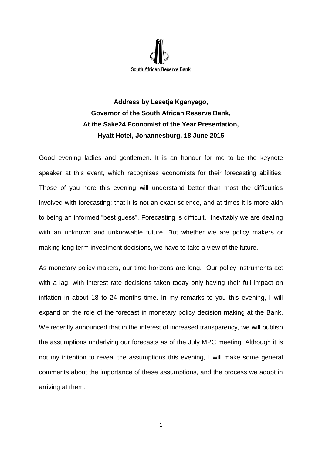

**Address by Lesetja Kganyago, Governor of the South African Reserve Bank, At the Sake24 Economist of the Year Presentation, Hyatt Hotel, Johannesburg, 18 June 2015**

Good evening ladies and gentlemen. It is an honour for me to be the keynote speaker at this event, which recognises economists for their forecasting abilities. Those of you here this evening will understand better than most the difficulties involved with forecasting: that it is not an exact science, and at times it is more akin to being an informed "best guess". Forecasting is difficult. Inevitably we are dealing with an unknown and unknowable future. But whether we are policy makers or making long term investment decisions, we have to take a view of the future.

As monetary policy makers, our time horizons are long. Our policy instruments act with a lag, with interest rate decisions taken today only having their full impact on inflation in about 18 to 24 months time. In my remarks to you this evening, I will expand on the role of the forecast in monetary policy decision making at the Bank. We recently announced that in the interest of increased transparency, we will publish the assumptions underlying our forecasts as of the July MPC meeting. Although it is not my intention to reveal the assumptions this evening, I will make some general comments about the importance of these assumptions, and the process we adopt in arriving at them.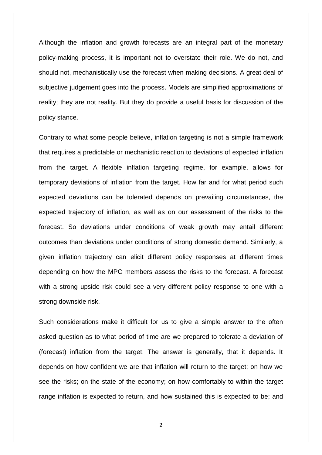Although the inflation and growth forecasts are an integral part of the monetary policy-making process, it is important not to overstate their role. We do not, and should not, mechanistically use the forecast when making decisions. A great deal of subjective judgement goes into the process. Models are simplified approximations of reality; they are not reality. But they do provide a useful basis for discussion of the policy stance.

Contrary to what some people believe, inflation targeting is not a simple framework that requires a predictable or mechanistic reaction to deviations of expected inflation from the target. A flexible inflation targeting regime, for example, allows for temporary deviations of inflation from the target. How far and for what period such expected deviations can be tolerated depends on prevailing circumstances, the expected trajectory of inflation, as well as on our assessment of the risks to the forecast. So deviations under conditions of weak growth may entail different outcomes than deviations under conditions of strong domestic demand. Similarly, a given inflation trajectory can elicit different policy responses at different times depending on how the MPC members assess the risks to the forecast. A forecast with a strong upside risk could see a very different policy response to one with a strong downside risk.

Such considerations make it difficult for us to give a simple answer to the often asked question as to what period of time are we prepared to tolerate a deviation of (forecast) inflation from the target. The answer is generally, that it depends. It depends on how confident we are that inflation will return to the target; on how we see the risks; on the state of the economy; on how comfortably to within the target range inflation is expected to return, and how sustained this is expected to be; and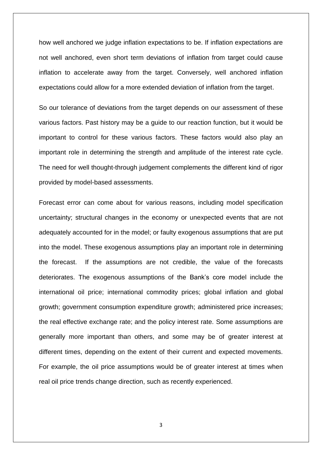how well anchored we judge inflation expectations to be. If inflation expectations are not well anchored, even short term deviations of inflation from target could cause inflation to accelerate away from the target. Conversely, well anchored inflation expectations could allow for a more extended deviation of inflation from the target.

So our tolerance of deviations from the target depends on our assessment of these various factors. Past history may be a guide to our reaction function, but it would be important to control for these various factors. These factors would also play an important role in determining the strength and amplitude of the interest rate cycle. The need for well thought-through judgement complements the different kind of rigor provided by model-based assessments.

Forecast error can come about for various reasons, including model specification uncertainty; structural changes in the economy or unexpected events that are not adequately accounted for in the model; or faulty exogenous assumptions that are put into the model. These exogenous assumptions play an important role in determining the forecast. If the assumptions are not credible, the value of the forecasts deteriorates. The exogenous assumptions of the Bank's core model include the international oil price; international commodity prices; global inflation and global growth; government consumption expenditure growth; administered price increases; the real effective exchange rate; and the policy interest rate. Some assumptions are generally more important than others, and some may be of greater interest at different times, depending on the extent of their current and expected movements. For example, the oil price assumptions would be of greater interest at times when real oil price trends change direction, such as recently experienced.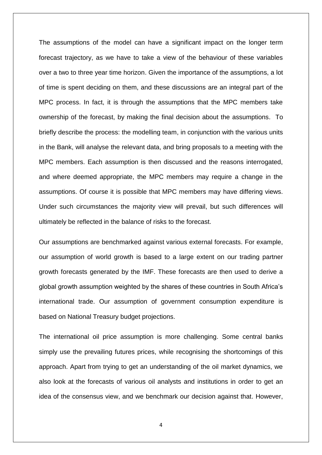The assumptions of the model can have a significant impact on the longer term forecast trajectory, as we have to take a view of the behaviour of these variables over a two to three year time horizon. Given the importance of the assumptions, a lot of time is spent deciding on them, and these discussions are an integral part of the MPC process. In fact, it is through the assumptions that the MPC members take ownership of the forecast, by making the final decision about the assumptions. To briefly describe the process: the modelling team, in conjunction with the various units in the Bank, will analyse the relevant data, and bring proposals to a meeting with the MPC members. Each assumption is then discussed and the reasons interrogated, and where deemed appropriate, the MPC members may require a change in the assumptions. Of course it is possible that MPC members may have differing views. Under such circumstances the majority view will prevail, but such differences will ultimately be reflected in the balance of risks to the forecast.

Our assumptions are benchmarked against various external forecasts. For example, our assumption of world growth is based to a large extent on our trading partner growth forecasts generated by the IMF. These forecasts are then used to derive a global growth assumption weighted by the shares of these countries in South Africa's international trade. Our assumption of government consumption expenditure is based on National Treasury budget projections.

The international oil price assumption is more challenging. Some central banks simply use the prevailing futures prices, while recognising the shortcomings of this approach. Apart from trying to get an understanding of the oil market dynamics, we also look at the forecasts of various oil analysts and institutions in order to get an idea of the consensus view, and we benchmark our decision against that. However,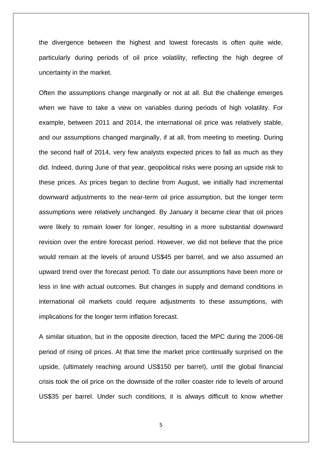the divergence between the highest and lowest forecasts is often quite wide, particularly during periods of oil price volatility, reflecting the high degree of uncertainty in the market.

Often the assumptions change marginally or not at all. But the challenge emerges when we have to take a view on variables during periods of high volatility. For example, between 2011 and 2014, the international oil price was relatively stable, and our assumptions changed marginally, if at all, from meeting to meeting. During the second half of 2014, very few analysts expected prices to fall as much as they did. Indeed, during June of that year, geopolitical risks were posing an upside risk to these prices. As prices began to decline from August, we initially had incremental downward adjustments to the near-term oil price assumption, but the longer term assumptions were relatively unchanged. By January it became clear that oil prices were likely to remain lower for longer, resulting in a more substantial downward revision over the entire forecast period. However, we did not believe that the price would remain at the levels of around US\$45 per barrel, and we also assumed an upward trend over the forecast period. To date our assumptions have been more or less in line with actual outcomes. But changes in supply and demand conditions in international oil markets could require adjustments to these assumptions, with implications for the longer term inflation forecast.

A similar situation, but in the opposite direction, faced the MPC during the 2006-08 period of rising oil prices. At that time the market price continually surprised on the upside, (ultimately reaching around US\$150 per barrel), until the global financial crisis took the oil price on the downside of the roller coaster ride to levels of around US\$35 per barrel. Under such conditions, it is always difficult to know whether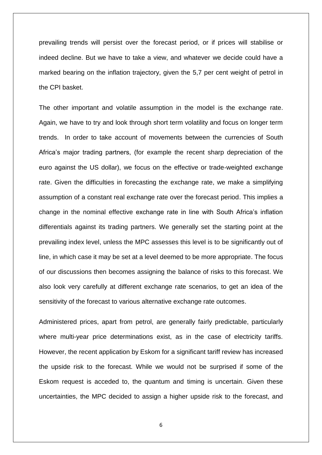prevailing trends will persist over the forecast period, or if prices will stabilise or indeed decline. But we have to take a view, and whatever we decide could have a marked bearing on the inflation trajectory, given the 5,7 per cent weight of petrol in the CPI basket.

The other important and volatile assumption in the model is the exchange rate. Again, we have to try and look through short term volatility and focus on longer term trends. In order to take account of movements between the currencies of South Africa's major trading partners, (for example the recent sharp depreciation of the euro against the US dollar), we focus on the effective or trade-weighted exchange rate. Given the difficulties in forecasting the exchange rate, we make a simplifying assumption of a constant real exchange rate over the forecast period. This implies a change in the nominal effective exchange rate in line with South Africa's inflation differentials against its trading partners. We generally set the starting point at the prevailing index level, unless the MPC assesses this level is to be significantly out of line, in which case it may be set at a level deemed to be more appropriate. The focus of our discussions then becomes assigning the balance of risks to this forecast. We also look very carefully at different exchange rate scenarios, to get an idea of the sensitivity of the forecast to various alternative exchange rate outcomes.

Administered prices, apart from petrol, are generally fairly predictable, particularly where multi-year price determinations exist, as in the case of electricity tariffs. However, the recent application by Eskom for a significant tariff review has increased the upside risk to the forecast. While we would not be surprised if some of the Eskom request is acceded to, the quantum and timing is uncertain. Given these uncertainties, the MPC decided to assign a higher upside risk to the forecast, and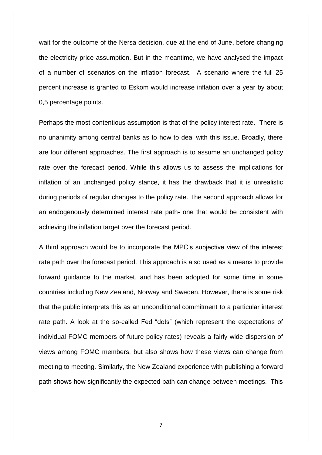wait for the outcome of the Nersa decision, due at the end of June, before changing the electricity price assumption. But in the meantime, we have analysed the impact of a number of scenarios on the inflation forecast. A scenario where the full 25 percent increase is granted to Eskom would increase inflation over a year by about 0,5 percentage points.

Perhaps the most contentious assumption is that of the policy interest rate. There is no unanimity among central banks as to how to deal with this issue. Broadly, there are four different approaches. The first approach is to assume an unchanged policy rate over the forecast period. While this allows us to assess the implications for inflation of an unchanged policy stance, it has the drawback that it is unrealistic during periods of regular changes to the policy rate. The second approach allows for an endogenously determined interest rate path- one that would be consistent with achieving the inflation target over the forecast period.

A third approach would be to incorporate the MPC's subjective view of the interest rate path over the forecast period. This approach is also used as a means to provide forward guidance to the market, and has been adopted for some time in some countries including New Zealand, Norway and Sweden. However, there is some risk that the public interprets this as an unconditional commitment to a particular interest rate path. A look at the so-called Fed "dots" (which represent the expectations of individual FOMC members of future policy rates) reveals a fairly wide dispersion of views among FOMC members, but also shows how these views can change from meeting to meeting. Similarly, the New Zealand experience with publishing a forward path shows how significantly the expected path can change between meetings. This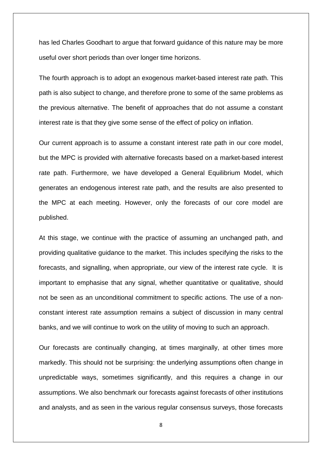has led Charles Goodhart to argue that forward guidance of this nature may be more useful over short periods than over longer time horizons.

The fourth approach is to adopt an exogenous market-based interest rate path. This path is also subject to change, and therefore prone to some of the same problems as the previous alternative. The benefit of approaches that do not assume a constant interest rate is that they give some sense of the effect of policy on inflation.

Our current approach is to assume a constant interest rate path in our core model, but the MPC is provided with alternative forecasts based on a market-based interest rate path. Furthermore, we have developed a General Equilibrium Model, which generates an endogenous interest rate path, and the results are also presented to the MPC at each meeting. However, only the forecasts of our core model are published.

At this stage, we continue with the practice of assuming an unchanged path, and providing qualitative guidance to the market. This includes specifying the risks to the forecasts, and signalling, when appropriate, our view of the interest rate cycle. It is important to emphasise that any signal, whether quantitative or qualitative, should not be seen as an unconditional commitment to specific actions. The use of a nonconstant interest rate assumption remains a subject of discussion in many central banks, and we will continue to work on the utility of moving to such an approach.

Our forecasts are continually changing, at times marginally, at other times more markedly. This should not be surprising: the underlying assumptions often change in unpredictable ways, sometimes significantly, and this requires a change in our assumptions. We also benchmark our forecasts against forecasts of other institutions and analysts, and as seen in the various regular consensus surveys, those forecasts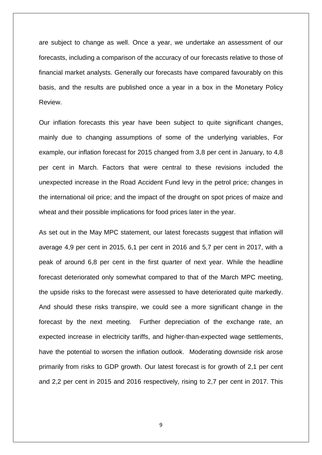are subject to change as well. Once a year, we undertake an assessment of our forecasts, including a comparison of the accuracy of our forecasts relative to those of financial market analysts. Generally our forecasts have compared favourably on this basis, and the results are published once a year in a box in the Monetary Policy Review.

Our inflation forecasts this year have been subject to quite significant changes, mainly due to changing assumptions of some of the underlying variables, For example, our inflation forecast for 2015 changed from 3,8 per cent in January, to 4,8 per cent in March. Factors that were central to these revisions included the unexpected increase in the Road Accident Fund levy in the petrol price; changes in the international oil price; and the impact of the drought on spot prices of maize and wheat and their possible implications for food prices later in the year.

As set out in the May MPC statement, our latest forecasts suggest that inflation will average 4,9 per cent in 2015, 6,1 per cent in 2016 and 5,7 per cent in 2017, with a peak of around 6,8 per cent in the first quarter of next year. While the headline forecast deteriorated only somewhat compared to that of the March MPC meeting, the upside risks to the forecast were assessed to have deteriorated quite markedly. And should these risks transpire, we could see a more significant change in the forecast by the next meeting. Further depreciation of the exchange rate, an expected increase in electricity tariffs, and higher-than-expected wage settlements, have the potential to worsen the inflation outlook. Moderating downside risk arose primarily from risks to GDP growth. Our latest forecast is for growth of 2,1 per cent and 2,2 per cent in 2015 and 2016 respectively, rising to 2,7 per cent in 2017. This